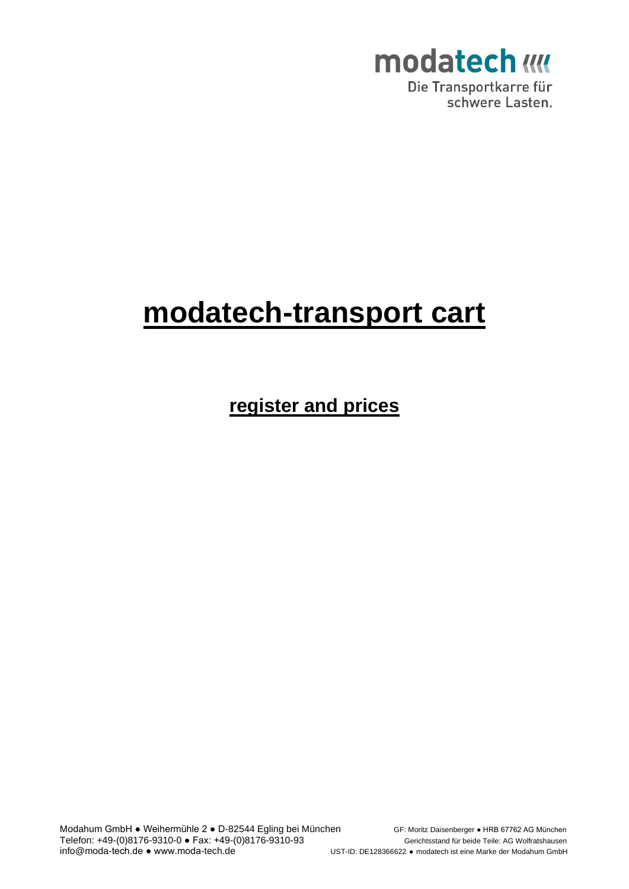

Die Transportkarre für schwere Lasten.

### **modatech-transport cart**

**register and prices**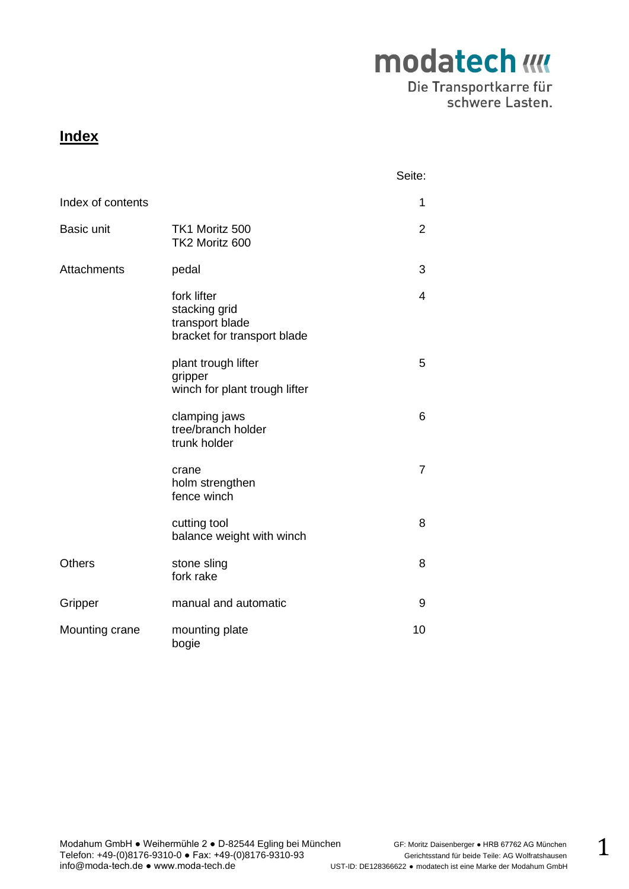Die Transportkarre für schwere Lasten.

#### **Index**

|                    |                                                                                | Seite:         |
|--------------------|--------------------------------------------------------------------------------|----------------|
| Index of contents  |                                                                                | 1              |
| <b>Basic unit</b>  | TK1 Moritz 500<br>TK2 Moritz 600                                               | 2              |
| <b>Attachments</b> | pedal                                                                          | 3              |
|                    | fork lifter<br>stacking grid<br>transport blade<br>bracket for transport blade | 4              |
|                    | plant trough lifter<br>gripper<br>winch for plant trough lifter                | 5              |
|                    | clamping jaws<br>tree/branch holder<br>trunk holder                            | 6              |
|                    | crane<br>holm strengthen<br>fence winch                                        | $\overline{7}$ |
|                    | cutting tool<br>balance weight with winch                                      | 8              |
| <b>Others</b>      | stone sling<br>fork rake                                                       | 8              |
| Gripper            | manual and automatic                                                           | 9              |
| Mounting crane     | mounting plate<br>bogie                                                        | 10             |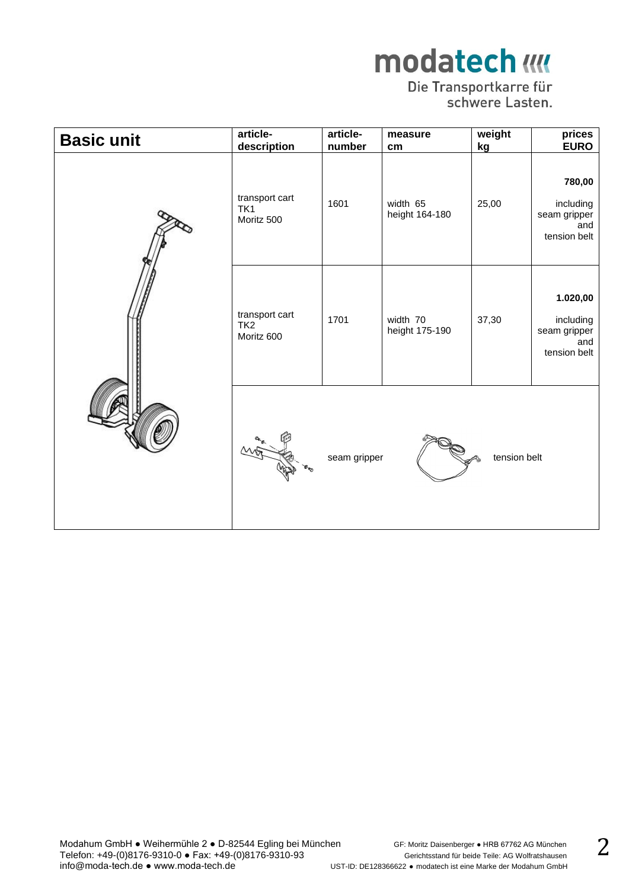## Die Transportkarre für<br>schwere Lasten.

| <b>Basic unit</b> | article-<br>description                         | article-<br>number | measure<br>cm              | weight<br>kg | prices<br><b>EURO</b>                                        |
|-------------------|-------------------------------------------------|--------------------|----------------------------|--------------|--------------------------------------------------------------|
|                   | transport cart<br>TK <sub>1</sub><br>Moritz 500 | 1601               | width 65<br>height 164-180 | 25,00        | 780,00<br>including<br>seam gripper<br>and<br>tension belt   |
|                   | transport cart<br>TK <sub>2</sub><br>Moritz 600 | 1701               | width 70<br>height 175-190 | 37,30        | 1.020,00<br>including<br>seam gripper<br>and<br>tension belt |
|                   |                                                 | seam gripper       |                            | tension belt |                                                              |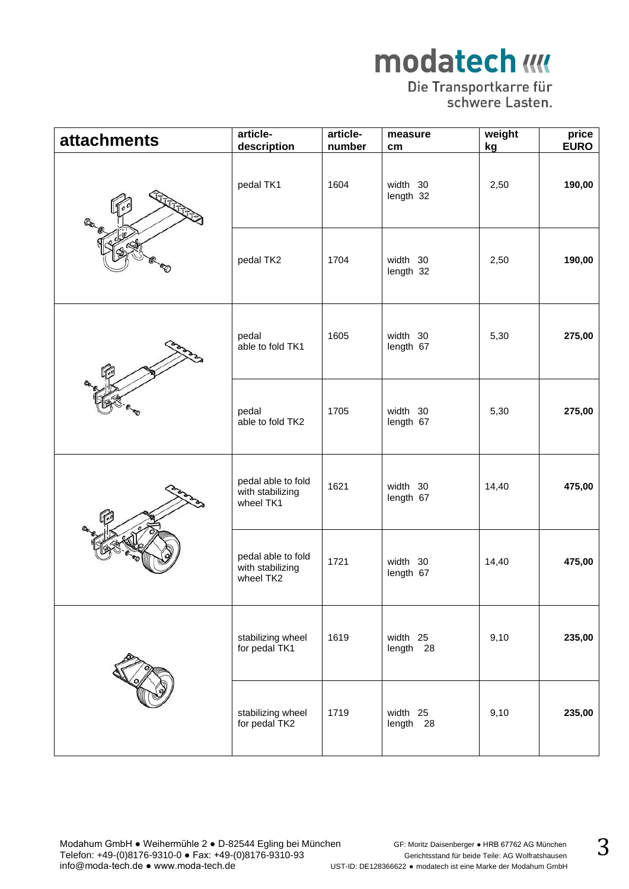## Die Transportkarre für<br>schwere Lasten.

| <b>attachments</b> | article-<br>description                             | article-<br>number | measure<br>cm         | weight<br>kg | price<br><b>EURO</b> |
|--------------------|-----------------------------------------------------|--------------------|-----------------------|--------------|----------------------|
|                    | pedal TK1                                           | 1604               | width 30<br>length 32 | 2,50         | 190,00               |
|                    | pedal TK2                                           | 1704               | width 30<br>length 32 | 2,50         | 190,00               |
|                    | pedal<br>able to fold TK1                           | 1605               | width 30<br>length 67 | 5,30         | 275,00               |
|                    | pedal<br>able to fold TK2                           | 1705               | width 30<br>length 67 | 5,30         | 275,00               |
|                    | pedal able to fold<br>with stabilizing<br>wheel TK1 | 1621               | width 30<br>length 67 | 14,40        | 475,00               |
|                    | pedal able to fold<br>with stabilizing<br>wheel TK2 | 1721               | width 30<br>length 67 | 14,40        | 475,00               |
|                    | stabilizing wheel<br>for pedal TK1                  | 1619               | width 25<br>length 28 | 9,10         | 235,00               |
|                    | stabilizing wheel<br>for pedal TK2                  | 1719               | width 25<br>length 28 | 9,10         | 235,00               |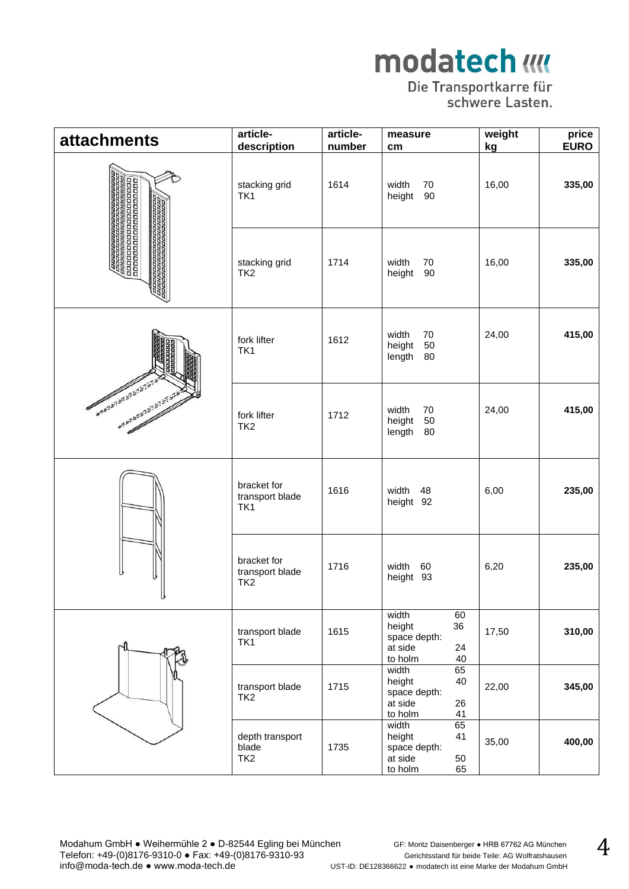## Die Transportkarre für<br>schwere Lasten.

| <b>attachments</b>                                 | article-<br>description                           | article-<br>number | measure<br>cm                                                                 | weight<br>kg | price<br><b>EURO</b> |
|----------------------------------------------------|---------------------------------------------------|--------------------|-------------------------------------------------------------------------------|--------------|----------------------|
| 000000                                             | stacking grid<br>TK1                              | 1614               | width<br>70<br>90<br>height                                                   | 16,00        | 335,00               |
| 88888888<br>8888888                                | stacking grid<br>TK <sub>2</sub>                  | 1714               | width<br>70<br>90<br>height                                                   | 16,00        | 335,00               |
|                                                    | fork lifter<br>TK1                                | 1612               | width<br>70<br>50<br>height<br>80<br>length                                   | 24,00        | 415,00               |
| <b>Andrew Miller Street</b><br>Andrew Miles Engine | fork lifter<br>TK <sub>2</sub>                    | 1712               | width<br>70<br>height<br>50<br>80<br>length                                   | 24,00        | 415,00               |
|                                                    | bracket for<br>transport blade<br>TK1             | 1616               | width<br>48<br>height 92                                                      | 6,00         | 235,00               |
|                                                    | bracket for<br>transport blade<br>TK <sub>2</sub> | 1716               | width<br>60<br>height 93                                                      | 6,20         | 235,00               |
|                                                    | transport blade<br>TK1                            | 1615               | 60<br>width<br>height<br>36<br>space depth:<br>at side<br>24<br>to holm<br>40 | 17,50        | 310,00               |
|                                                    | transport blade<br>TK <sub>2</sub>                | 1715               | 65<br>width<br>height<br>40<br>space depth:<br>at side<br>26<br>to holm<br>41 | 22,00        | 345,00               |
|                                                    | depth transport<br>blade<br>TK <sub>2</sub>       | 1735               | 65<br>width<br>height<br>41<br>space depth:<br>at side<br>50<br>to holm<br>65 | 35,00        | 400,00               |

Modahum GmbH ● Weihermühle 2 ● D-82544 Egling bei München GF: Moritz Daisenberger ● HRB 67762 AG München Telefon: +49-(0)8176-9310-0 ● Fax: +49-(0)8176-9310-93 Gerichtsstand für beide Teile: AG Wolfratshausen info@moda-tech.de ● www.moda-tech.de UST-ID: DE128366622 • modatech ist eine Marke der Modahum GmbH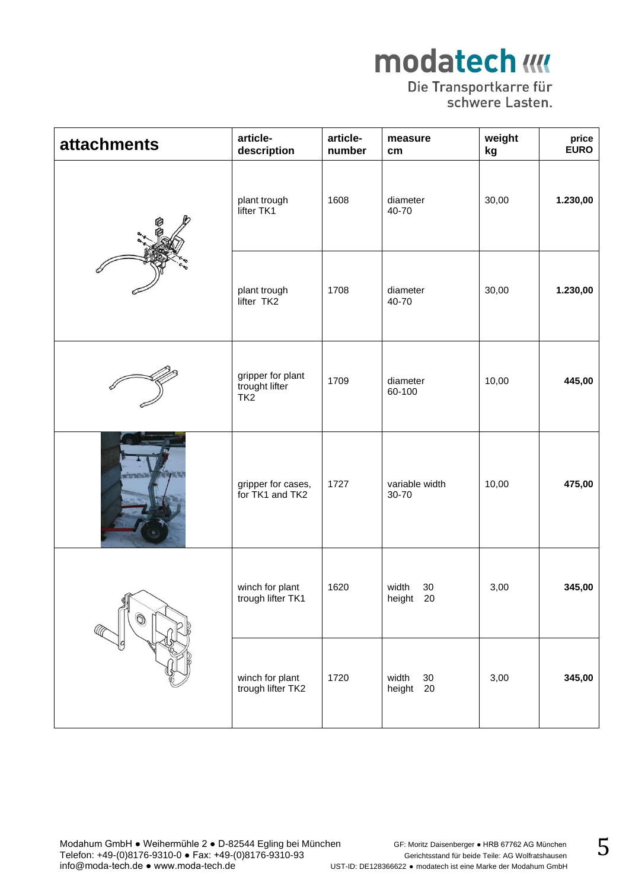#### Die Transportkarre für schwere Lasten.

| <b>attachments</b> | article-<br>description                    | article-<br>number | measure<br>cm                   | weight<br>kg | price<br><b>EURO</b> |
|--------------------|--------------------------------------------|--------------------|---------------------------------|--------------|----------------------|
|                    | plant trough<br>lifter TK1                 | 1608               | diameter<br>40-70               | 30,00        | 1.230,00             |
|                    | plant trough<br>lifter TK2                 | 1708               | diameter<br>40-70               | 30,00        | 1.230,00             |
|                    | gripper for plant<br>trought lifter<br>TK2 | 1709               | diameter<br>60-100              | 10,00        | 445,00               |
| <b>STATISTIC</b>   | gripper for cases,<br>for TK1 and TK2      | 1727               | variable width<br>30-70         | 10,00        | 475,00               |
| $\circledS$        | winch for plant<br>trough lifter TK1       | 1620               | width<br>30<br>height 20        | 3,00         | 345,00               |
|                    | winch for plant<br>trough lifter TK2       | 1720               | width<br>$30\,$<br>20<br>height | 3,00         | 345,00               |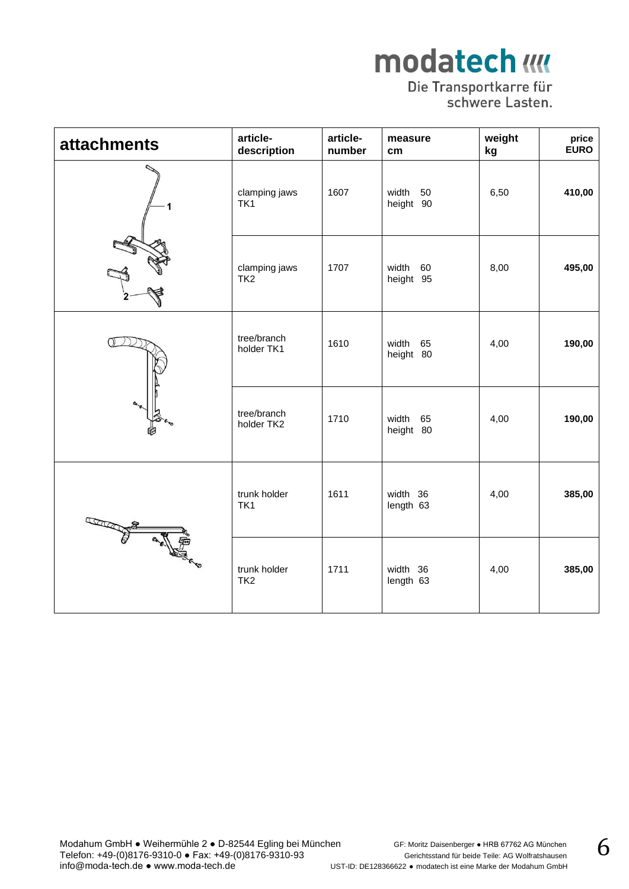## Die Transportkarre für<br>schwere Lasten.

| <b>attachments</b> | article-<br>description          | article-<br>number | measure<br>cm            | weight<br>kg | price<br><b>EURO</b> |
|--------------------|----------------------------------|--------------------|--------------------------|--------------|----------------------|
|                    | clamping jaws<br>TK1             | 1607               | width<br>50<br>height 90 | 6,50         | 410,00               |
|                    | clamping jaws<br>TK <sub>2</sub> | 1707               | width<br>60<br>height 95 | 8,00         | 495,00               |
|                    | tree/branch<br>holder TK1        | 1610               | width<br>65<br>height 80 | 4,00         | 190,00               |
|                    | tree/branch<br>holder TK2        | 1710               | width<br>65<br>height 80 | 4,00         | 190,00               |
|                    | trunk holder<br>TK <sub>1</sub>  | 1611               | width 36<br>length 63    | 4,00         | 385,00               |
|                    | trunk holder<br>TK <sub>2</sub>  | 1711               | width 36<br>length 63    | 4,00         | 385,00               |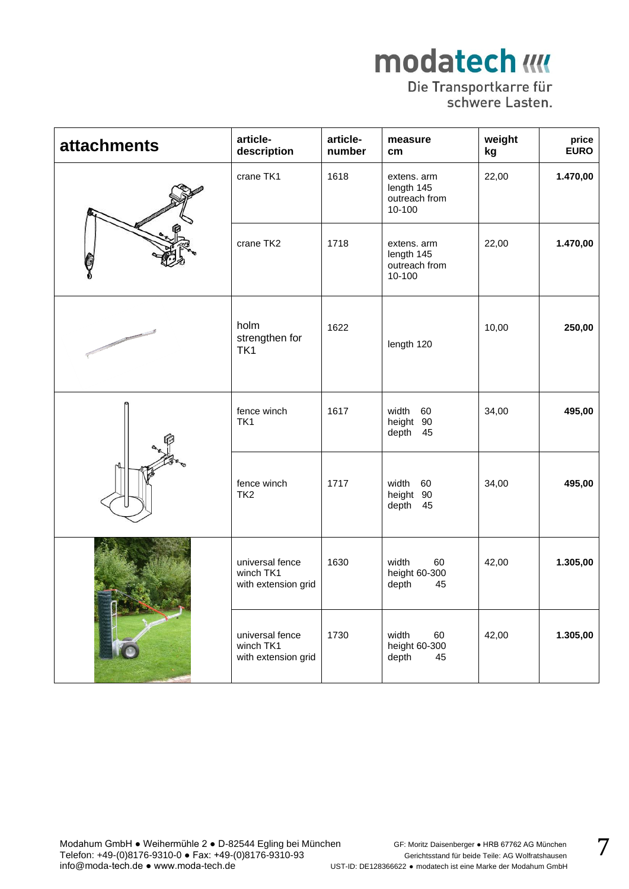#### Die Transportkarre für schwere Lasten.

| <b>attachments</b> | article-<br>description                             | article-<br>number | measure<br>cm <sub>2</sub>                           | weight<br>kg | price<br><b>EURO</b> |
|--------------------|-----------------------------------------------------|--------------------|------------------------------------------------------|--------------|----------------------|
|                    | crane TK1                                           | 1618               | extens. arm<br>length 145<br>outreach from<br>10-100 | 22,00        | 1.470,00             |
|                    | crane TK2                                           | 1718               | extens. arm<br>length 145<br>outreach from<br>10-100 | 22,00        | 1.470,00             |
|                    | holm<br>strengthen for<br>TK <sub>1</sub>           | 1622               | length 120                                           | 10,00        | 250,00               |
|                    | fence winch<br>TK1                                  | 1617               | width<br>60<br>90<br>height<br>45<br>depth           | 34,00        | 495,00               |
|                    | fence winch<br>TK <sub>2</sub>                      | 1717               | width<br>60<br>90<br>height<br>depth<br>45           | 34,00        | 495,00               |
|                    | universal fence<br>winch TK1<br>with extension grid | 1630               | width<br>60<br>height 60-300<br>depth<br>45          | 42,00        | 1.305,00             |
|                    | universal fence<br>winch TK1<br>with extension grid | 1730               | width<br>60<br>height 60-300<br>depth<br>45          | 42,00        | 1.305,00             |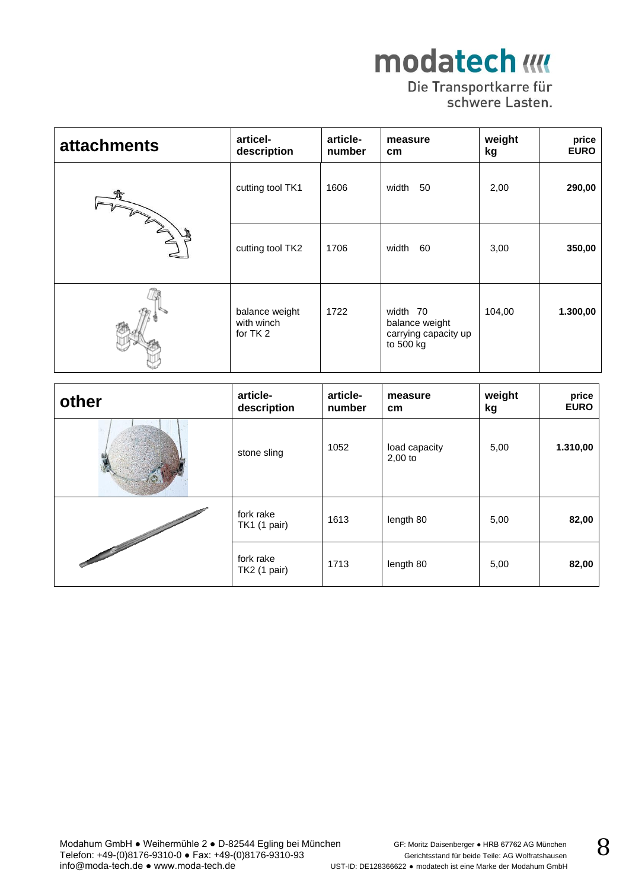## Die Transportkarre für<br>schwere Lasten.

| <b>attachments</b> | articel-<br>description                  | article-<br>number | measure<br>cm                                                   | weight<br>kg | price<br><b>EURO</b> |
|--------------------|------------------------------------------|--------------------|-----------------------------------------------------------------|--------------|----------------------|
| ALL AND A          | cutting tool TK1                         | 1606               | width<br>50                                                     | 2,00         | 290,00               |
|                    | cutting tool TK2                         | 1706               | width<br>60                                                     | 3,00         | 350,00               |
|                    | balance weight<br>with winch<br>for TK 2 | 1722               | width 70<br>balance weight<br>carrying capacity up<br>to 500 kg | 104,00       | 1.300,00             |

| other                                                                                                                                                                                                                                | article-<br>description   | article-<br>number | measure<br>cm              | weight<br>kg | price<br><b>EURO</b> |
|--------------------------------------------------------------------------------------------------------------------------------------------------------------------------------------------------------------------------------------|---------------------------|--------------------|----------------------------|--------------|----------------------|
|                                                                                                                                                                                                                                      | stone sling               | 1052               | load capacity<br>$2,00$ to | 5,00         | 1.310,00             |
|                                                                                                                                                                                                                                      | fork rake<br>TK1 (1 pair) | 1613               | length 80                  | 5,00         | 82,00                |
| <b>Contract of the Contract of the Contract of the Contract of the Contract of the Contract of the Contract of the Contract of the Contract of the Contract of the Contract of the Contract of the Contract of the Contract of t</b> | fork rake<br>TK2 (1 pair) | 1713               | length 80                  | 5,00         | 82,00                |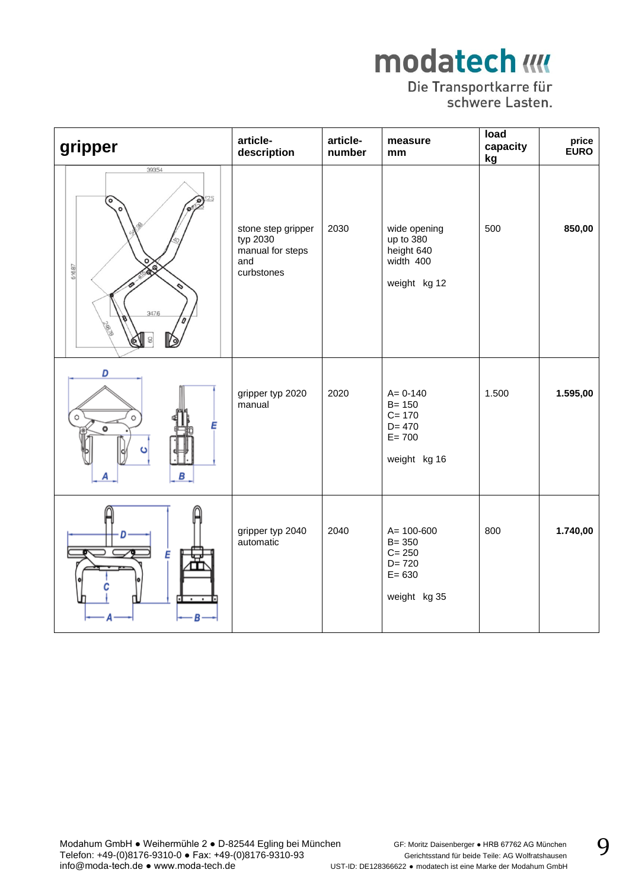Die Transportkarre für<br>schwere Lasten.

| gripper                                                   | article-<br>description                                                 | article-<br>number | measure<br>mm                                                                       | load<br>capacity<br>kg | price<br><b>EURO</b> |
|-----------------------------------------------------------|-------------------------------------------------------------------------|--------------------|-------------------------------------------------------------------------------------|------------------------|----------------------|
| 39354<br>ō<br>616.87<br>ଛ<br>347.6<br><b>PAIR</b><br>QI 8 | stone step gripper<br>typ 2030<br>manual for steps<br>and<br>curbstones | 2030               | wide opening<br>up to 380<br>height 640<br>width 400<br>weight kg 12                | 500                    | 850,00               |
| D<br>E<br>В                                               | gripper typ 2020<br>manual                                              | 2020               | $A = 0 - 140$<br>$B = 150$<br>$C = 170$<br>$D = 470$<br>$E = 700$<br>weight kg 16   | 1.500                  | 1.595,00             |
| Ε<br>$\overline{\cdot}$<br><b>.</b>                       | gripper typ 2040<br>automatic                                           | 2040               | $A = 100 - 600$<br>$B = 350$<br>$C = 250$<br>$D = 720$<br>$E = 630$<br>weight kg 35 | 800                    | 1.740,00             |